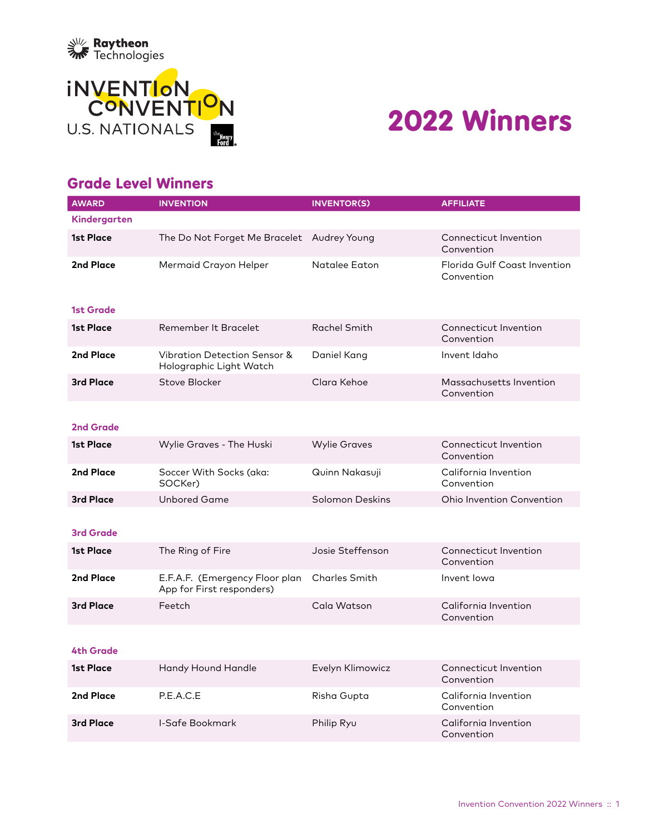



# 2022 Winners

#### Grade Level Winners

| <b>AWARD</b>     | <b>INVENTION</b>                                                   | <b>INVENTOR(S)</b>     | <b>AFFILIATE</b>                           |
|------------------|--------------------------------------------------------------------|------------------------|--------------------------------------------|
| Kindergarten     |                                                                    |                        |                                            |
| <b>1st Place</b> | The Do Not Forget Me Bracelet Audrey Young                         |                        | Connecticut Invention<br>Convention        |
| 2nd Place        | Mermaid Crayon Helper                                              | Natalee Eaton          | Florida Gulf Coast Invention<br>Convention |
| <b>1st Grade</b> |                                                                    |                        |                                            |
| <b>1st Place</b> | Remember It Bracelet                                               | Rachel Smith           | Connecticut Invention<br>Convention        |
| 2nd Place        | <b>Vibration Detection Sensor &amp;</b><br>Holographic Light Watch | Daniel Kang            | Invent Idaho                               |
| 3rd Place        | Stove Blocker                                                      | Clara Kehoe            | Massachusetts Invention<br>Convention      |
| <b>2nd Grade</b> |                                                                    |                        |                                            |
| <b>1st Place</b> | Wylie Graves - The Huski                                           | <b>Wylie Graves</b>    | Connecticut Invention<br>Convention        |
| 2nd Place        | Soccer With Socks (aka:<br>SOCKer)                                 | Quinn Nakasuji         | California Invention<br>Convention         |
| <b>3rd Place</b> | <b>Unbored Game</b>                                                | <b>Solomon Deskins</b> | Ohio Invention Convention                  |
|                  |                                                                    |                        |                                            |
| <b>3rd Grade</b> |                                                                    |                        |                                            |
| <b>1st Place</b> | The Ring of Fire                                                   | Josie Steffenson       | Connecticut Invention<br>Convention        |
| 2nd Place        | E.F.A.F. (Emergency Floor plan<br>App for First responders)        | <b>Charles Smith</b>   | Invent lowa                                |
| <b>3rd Place</b> | Feetch                                                             | Cala Watson            | California Invention<br>Convention         |
|                  |                                                                    |                        |                                            |
| <b>4th Grade</b> |                                                                    |                        |                                            |
| 1st Place        | Handy Hound Handle                                                 | Evelyn Klimowicz       | Connecticut Invention<br>Convention        |
| 2nd Place        | P.E.A.C.E                                                          | Risha Gupta            | California Invention<br>Convention         |
| <b>3rd Place</b> | I-Safe Bookmark                                                    | Philip Ryu             | California Invention<br>Convention         |
|                  |                                                                    |                        |                                            |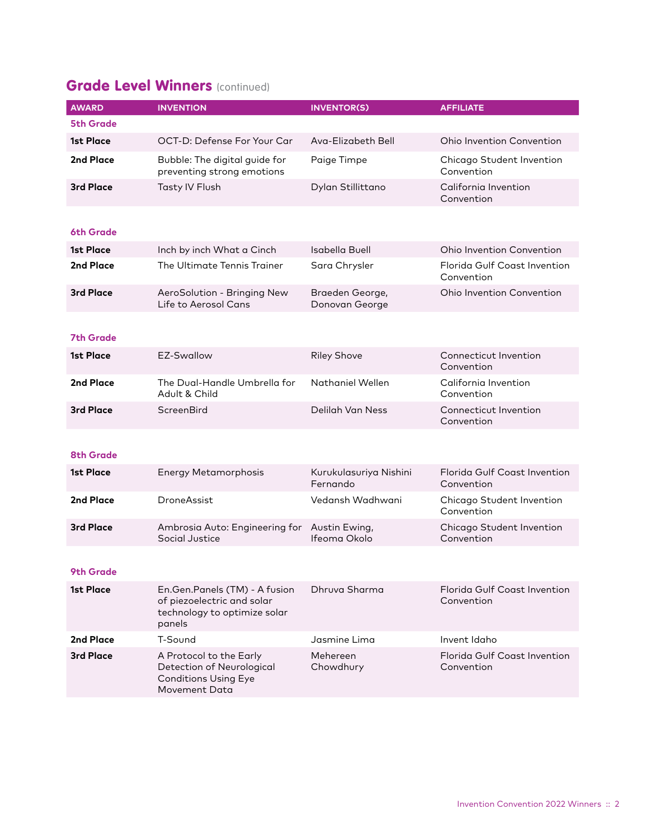# **Grade Level Winners (continued)**

| <b>AWARD</b>     | <b>INVENTION</b>                                                                                      | <b>INVENTOR(S)</b>                 | <b>AFFILIATE</b>                           |
|------------------|-------------------------------------------------------------------------------------------------------|------------------------------------|--------------------------------------------|
| <b>5th Grade</b> |                                                                                                       |                                    |                                            |
| 1st Place        | OCT-D: Defense For Your Car                                                                           | Ava-Elizabeth Bell                 | Ohio Invention Convention                  |
| 2nd Place        | Bubble: The digital guide for<br>preventing strong emotions                                           | Paige Timpe                        | Chicago Student Invention<br>Convention    |
| <b>3rd Place</b> | Tasty IV Flush                                                                                        | Dylan Stillittano                  | California Invention<br>Convention         |
|                  |                                                                                                       |                                    |                                            |
| 6th Grade        |                                                                                                       |                                    |                                            |
| 1st Place        | Inch by inch What a Cinch                                                                             | Isabella Buell                     | <b>Ohio Invention Convention</b>           |
| 2nd Place        | The Ultimate Tennis Trainer                                                                           | Sara Chrysler                      | Florida Gulf Coast Invention<br>Convention |
| <b>3rd Place</b> | AeroSolution - Bringing New<br>Life to Aerosol Cans                                                   | Braeden George,<br>Donovan George  | <b>Ohio Invention Convention</b>           |
|                  |                                                                                                       |                                    |                                            |
| <b>7th Grade</b> |                                                                                                       |                                    |                                            |
| 1st Place        | EZ-Swallow                                                                                            | <b>Riley Shove</b>                 | Connecticut Invention<br>Convention        |
| 2nd Place        | The Dual-Handle Umbrella for<br>Adult & Child                                                         | Nathaniel Wellen                   | California Invention<br>Convention         |
| <b>3rd Place</b> | <b>ScreenBird</b>                                                                                     | Delilah Van Ness                   | Connecticut Invention<br>Convention        |
|                  |                                                                                                       |                                    |                                            |
| <b>8th Grade</b> |                                                                                                       |                                    |                                            |
| <b>1st Place</b> | <b>Energy Metamorphosis</b>                                                                           | Kurukulasuriya Nishini<br>Fernando | Florida Gulf Coast Invention<br>Convention |
| 2nd Place        | DroneAssist                                                                                           | Vedansh Wadhwani                   | Chicago Student Invention<br>Convention    |
| <b>3rd Place</b> | Ambrosia Auto: Engineering for<br>Social Justice                                                      | Austin Ewing,<br>Ifeoma Okolo      | Chicago Student Invention<br>Convention    |
|                  |                                                                                                       |                                    |                                            |
| <b>9th Grade</b> |                                                                                                       |                                    |                                            |
| 1st Place        | En.Gen.Panels (TM) - A fusion<br>of piezoelectric and solar<br>technology to optimize solar<br>panels | Dhruva Sharma                      | Florida Gulf Coast Invention<br>Convention |
| 2nd Place        | T-Sound                                                                                               | Jasmine Lima                       | Invent Idaho                               |
| <b>3rd Place</b> | A Protocol to the Early<br>Detection of Neurological<br><b>Conditions Using Eye</b><br>Movement Data  | Mehereen<br>Chowdhury              | Florida Gulf Coast Invention<br>Convention |
|                  |                                                                                                       |                                    |                                            |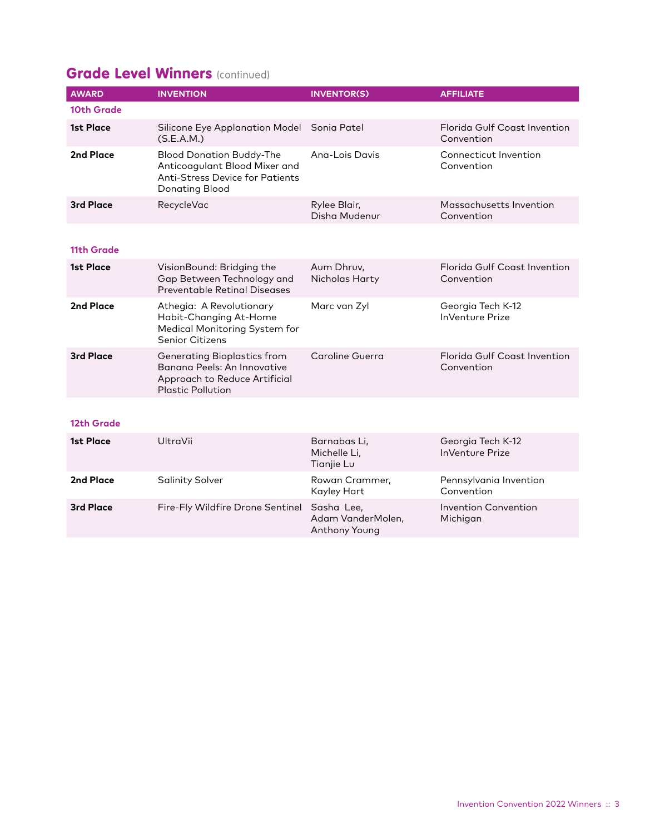### **Grade Level Winners (continued)**

| <b>AWARD</b> | <b>INVENTION</b>                                                                                                             | <b>INVENTOR(S)</b>            | <b>AFFILIATE</b>                                  |
|--------------|------------------------------------------------------------------------------------------------------------------------------|-------------------------------|---------------------------------------------------|
| 10th Grade   |                                                                                                                              |                               |                                                   |
| 1st Place    | Silicone Eye Applanation Model<br>(S.E.A.M.)                                                                                 | Sonia Patel                   | Florida Gulf Coast Invention<br>Convention        |
| 2nd Place    | <b>Blood Donation Buddy-The</b><br>Anticoagulant Blood Mixer and<br><b>Anti-Stress Device for Patients</b><br>Donating Blood | Ang-Lois Davis                | Connecticut Invention<br>Convention               |
| 3rd Place    | RecycleVac                                                                                                                   | Rylee Blair,<br>Disha Mudenur | Massachusetts Invention<br>Convention             |
|              |                                                                                                                              |                               |                                                   |
| 11th Grade   |                                                                                                                              |                               |                                                   |
| 1st Place    | VisionBound: Bridging the<br>Gap Between Technology and<br>Preventable Retinal Diseases                                      | Aum Dhruv,<br>Nicholas Harty  | Florida Gulf Coast Invention<br>Convention        |
| 2nd Place    | Athegia: A Revolutionary<br>Habit-Changing At-Home<br>Medical Monitoring System for<br><b>Senior Citizens</b>                | Marc van Zyl                  | Georgia Tech K-12<br><b>InVenture Prize</b>       |
| 3rd Place    | Generating Bioplastics from<br>Banana Peels: An Innovative<br>Approach to Reduce Artificial<br><b>Plastic Pollution</b>      | Caroline Guerra               | <b>Elorida Gulf Coast Invention</b><br>Convention |

#### **12th Grade**

| <b>1st Place</b> | UltraVii                                    | Barnabas Li,<br>Michelle Li,<br>Tianjie Lu | Georgia Tech K-12<br><b>InVenture Prize</b> |
|------------------|---------------------------------------------|--------------------------------------------|---------------------------------------------|
| 2nd Place        | <b>Salinity Solver</b>                      | Rowan Crammer,<br>Kayley Hart              | Pennsylvania Invention<br>Convention        |
| <b>3rd Place</b> | Fire-Fly Wildfire Drone Sentinel Sasha Lee, | Adam VanderMolen,<br>Anthony Young         | Invention Convention<br>Michigan            |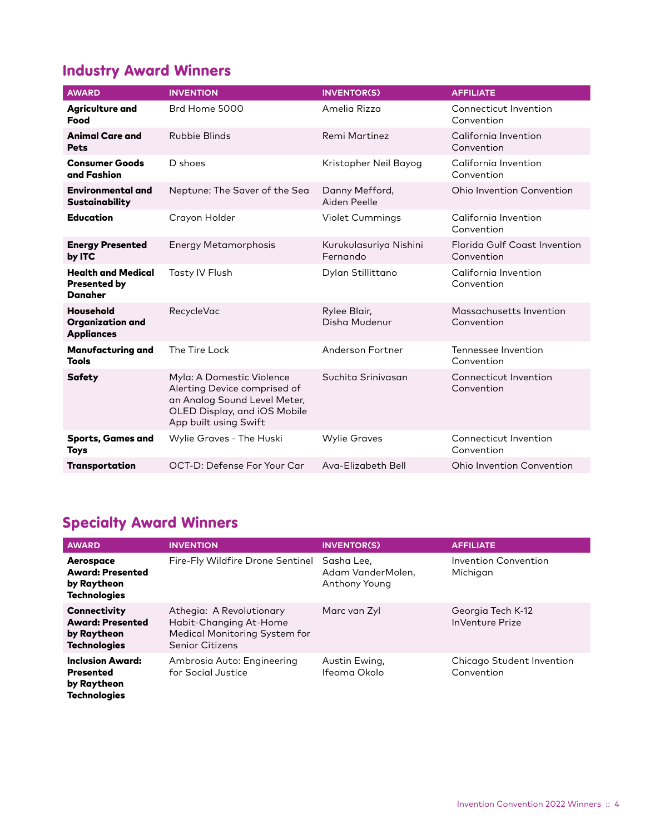### Industry Award Winners

| <b>AWARD</b>                                                     | <b>INVENTION</b>                                                                                                                                   | <b>INVENTOR(S)</b>                 | <b>AFFILIATE</b>                           |
|------------------------------------------------------------------|----------------------------------------------------------------------------------------------------------------------------------------------------|------------------------------------|--------------------------------------------|
| <b>Agriculture and</b><br>Food                                   | Brd Home 5000                                                                                                                                      | Amelia Rizza                       | Connecticut Invention<br>Convention        |
| <b>Animal Care and</b><br><b>Pets</b>                            | Rubbie Blinds                                                                                                                                      | Remi Martinez                      | California Invention<br>Convention         |
| <b>Consumer Goods</b><br>and Fashion                             | D shoes                                                                                                                                            | Kristopher Neil Bayog              | California Invention<br>Convention         |
| <b>Environmental and</b><br>Sustainability                       | Neptune: The Saver of the Sea                                                                                                                      | Danny Mefford,<br>Aiden Peelle     | Ohio Invention Convention                  |
| <b>Education</b>                                                 | Crayon Holder                                                                                                                                      | <b>Violet Cummings</b>             | California Invention<br>Convention         |
| <b>Energy Presented</b><br>by ITC                                | Energy Metamorphosis                                                                                                                               | Kurukulasuriya Nishini<br>Fernando | Florida Gulf Coast Invention<br>Convention |
| <b>Health and Medical</b><br><b>Presented by</b><br>Danaher      | Tasty IV Flush                                                                                                                                     | Dylan Stillittano                  | California Invention<br>Convention         |
| <b>Household</b><br><b>Organization and</b><br><b>Appliances</b> | <b>RecycleVac</b>                                                                                                                                  | Rylee Blair,<br>Disha Mudenur      | Massachusetts Invention<br>Convention      |
| <b>Manufacturing and</b><br><b>Tools</b>                         | The Tire Lock                                                                                                                                      | Anderson Fortner                   | Tennessee Invention<br>Convention          |
| <b>Safety</b>                                                    | Myla: A Domestic Violence<br>Alerting Device comprised of<br>an Analog Sound Level Meter,<br>OLED Display, and iOS Mobile<br>App built using Swift | Suchita Srinivasan                 | Connecticut Invention<br>Convention        |
| <b>Sports, Games and</b><br><b>Toys</b>                          | Wylie Graves - The Huski                                                                                                                           | <b>Wylie Graves</b>                | Connecticut Invention<br>Convention        |
| <b>Transportation</b>                                            | OCT-D: Defense For Your Car                                                                                                                        | Ava-Elizabeth Bell                 | <b>Ohio Invention Convention</b>           |

# Specialty Award Winners

| <b>AWARD</b>                                                                         | <b>INVENTION</b>                                                                                              | <b>INVENTOR(S)</b>                                      | <b>AFFILIATE</b>                            |
|--------------------------------------------------------------------------------------|---------------------------------------------------------------------------------------------------------------|---------------------------------------------------------|---------------------------------------------|
| Aerospace<br><b>Award: Presented</b><br>by Raytheon<br><b>Technologies</b>           | Fire-Fly Wildfire Drone Sentinel                                                                              | Sasha Lee,<br>Adam VanderMolen.<br><b>Anthony Young</b> | Invention Convention<br>Michigan            |
| <b>Connectivity</b><br><b>Award: Presented</b><br>by Raytheon<br><b>Technologies</b> | Athegia: A Revolutionary<br>Habit-Changing At-Home<br>Medical Monitoring System for<br><b>Senior Citizens</b> | Marc van Zyl                                            | Georgia Tech K-12<br><b>InVenture Prize</b> |
| <b>Inclusion Award:</b><br><b>Presented</b><br>by Raytheon<br><b>Technologies</b>    | Ambrosia Auto: Engineering<br>for Social Justice                                                              | Austin Ewing,<br>Ifeoma Okolo                           | Chicago Student Invention<br>Convention     |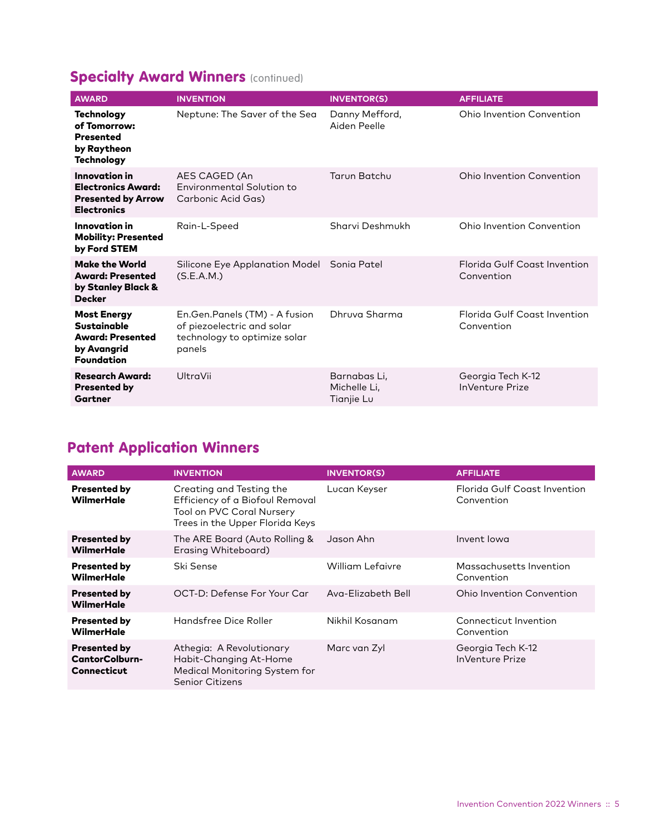# **Specialty Award Winners (continued)**

| <b>AWARD</b>                                                                                            | <b>INVENTION</b>                                                                                      | <b>INVENTOR(S)</b>                         | <b>AFFILIATE</b>                            |
|---------------------------------------------------------------------------------------------------------|-------------------------------------------------------------------------------------------------------|--------------------------------------------|---------------------------------------------|
| <b>Technology</b><br>of Tomorrow:<br><b>Presented</b><br>by Raytheon<br><b>Technology</b>               | Neptune: The Saver of the Sea                                                                         | Danny Mefford,<br>Aiden Peelle             | Ohio Invention Convention                   |
| Innovation in<br><b>Electronics Award:</b><br><b>Presented by Arrow</b><br><b>Electronics</b>           | AES CAGED (An<br>Environmental Solution to<br>Carbonic Acid Gas)                                      | Tarun Batchu                               | Ohio Invention Convention                   |
| Innovation in<br><b>Mobility: Presented</b><br>by Ford STEM                                             | Rain-L-Speed                                                                                          | Sharvi Deshmukh                            | Ohio Invention Convention                   |
| <b>Make the World</b><br><b>Award: Presented</b><br>by Stanley Black &<br><b>Decker</b>                 | Silicone Eye Applanation Model Sonia Patel<br>(S.E.A.M.)                                              |                                            | Florida Gulf Coast Invention<br>Convention  |
| <b>Most Energy</b><br><b>Sustainable</b><br><b>Award: Presented</b><br>by Avangrid<br><b>Foundation</b> | En.Gen.Panels (TM) - A fusion<br>of piezoelectric and solar<br>technology to optimize solar<br>panels | Dhruya Sharma                              | Florida Gulf Coast Invention<br>Convention  |
| <b>Research Award:</b><br><b>Presented by</b><br>Gartner                                                | UltraVii                                                                                              | Barnabas Li,<br>Michelle Li.<br>Tianjie Lu | Georgia Tech K-12<br><b>InVenture Prize</b> |

# Patent Application Winners

| <b>AWARD</b>                                                       | <b>INVENTION</b>                                                                                                                   | <b>INVENTOR(S)</b>      | <b>AFFILIATE</b>                            |
|--------------------------------------------------------------------|------------------------------------------------------------------------------------------------------------------------------------|-------------------------|---------------------------------------------|
| <b>Presented by</b><br><b>WilmerHale</b>                           | Creating and Testing the<br>Efficiency of a Biofoul Removal<br><b>Tool on PVC Coral Nursery</b><br>Trees in the Upper Florida Keys | Lucan Keyser            | Florida Gulf Coast Invention<br>Convention  |
| <b>Presented by</b><br>WilmerHale                                  | The ARE Board (Auto Rolling &<br>Erasing Whiteboard)                                                                               | Jason Ahn               | Invent lowa                                 |
| <b>Presented by</b><br><b>WilmerHale</b>                           | Ski Sense                                                                                                                          | <b>William Lefaivre</b> | Massachusetts Invention<br>Convention       |
| <b>Presented by</b><br>WilmerHale                                  | OCT-D: Defense For Your Car                                                                                                        | Ava-Elizabeth Bell      | <b>Ohio Invention Convention</b>            |
| <b>Presented by</b><br><b>WilmerHale</b>                           | Handsfree Dice Roller                                                                                                              | Nikhil Kosanam          | Connecticut Invention<br>Convention         |
| <b>Presented by</b><br><b>CantorColburn-</b><br><b>Connecticut</b> | Athegia: A Revolutionary<br>Habit-Changing At-Home<br>Medical Monitoring System for<br><b>Senior Citizens</b>                      | Marc van Zyl            | Georgia Tech K-12<br><b>InVenture Prize</b> |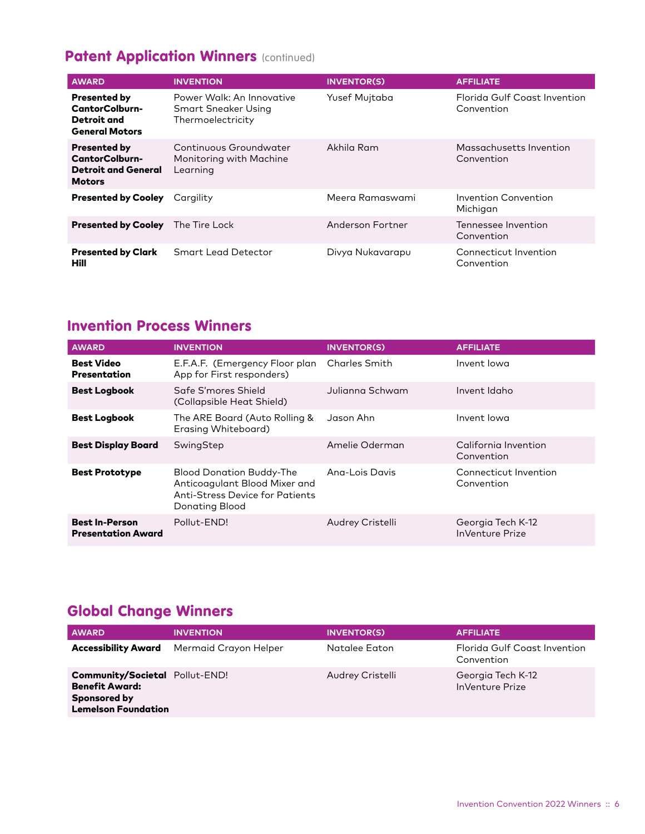### Patent Application Winners (continued)

| <b>AWARD</b>                                                                                | <b>INVENTION</b>                                                      | <b>INVENTOR(S)</b> | <b>AFFILIATE</b>                           |
|---------------------------------------------------------------------------------------------|-----------------------------------------------------------------------|--------------------|--------------------------------------------|
| <b>Presented by</b><br><b>CantorColburn-</b><br><b>Detroit and</b><br><b>General Motors</b> | Power Walk: An Innovative<br>Smart Sneaker Using<br>Thermoelectricity | Yusef Mujtaba      | Florida Gulf Coast Invention<br>Convention |
| <b>Presented by</b><br>CantorColburn-<br><b>Detroit and General</b><br><b>Motors</b>        | Continuous Groundwater<br>Monitoring with Machine<br>Learning         | Akhila Ram         | Massachusetts Invention<br>Convention      |
| <b>Presented by Cooley</b>                                                                  | Cargility                                                             | Meera Ramaswami    | Invention Convention<br>Michigan           |
| <b>Presented by Cooley</b>                                                                  | The Tire Lock                                                         | Anderson Fortner   | Tennessee Invention<br>Convention          |
| <b>Presented by Clark</b><br>Hill                                                           | Smart Lead Detector                                                   | Divya Nukavarapu   | Connecticut Invention<br>Convention        |

#### Invention Process Winners

| <b>AWARD</b>                                       | <b>INVENTION</b>                                                                                                             | <b>INVENTOR(S)</b>   | <b>AFFILIATE</b>                            |
|----------------------------------------------------|------------------------------------------------------------------------------------------------------------------------------|----------------------|---------------------------------------------|
| <b>Best Video</b><br><b>Presentation</b>           | E.F.A.F. (Emergency Floor plan)<br>App for First responders)                                                                 | <b>Charles Smith</b> | Invent lowa                                 |
| <b>Best Logbook</b>                                | Safe S'mores Shield<br>(Collapsible Heat Shield)                                                                             | Julianna Schwam      | Invent Idaho                                |
| <b>Best Logbook</b>                                | The ARE Board (Auto Rolling &<br>Erasing Whiteboard)                                                                         | Jason Ahn            | Invent lowa                                 |
| <b>Best Display Board</b>                          | SwingStep                                                                                                                    | Amelie Oderman       | California Invention<br>Convention          |
| <b>Best Prototype</b>                              | <b>Blood Donation Buddy-The</b><br>Anticoagulant Blood Mixer and<br><b>Anti-Stress Device for Patients</b><br>Donating Blood | Ang-Lois Davis       | Connecticut Invention<br>Convention         |
| <b>Best In-Person</b><br><b>Presentation Award</b> | Pollut-END!                                                                                                                  | Audrey Cristelli     | Georgia Tech K-12<br><b>InVenture Prize</b> |

## Global Change Winners

| <b>AWARD</b>                                                                                                 | <b>INVENTION</b>      | <b>INVENTOR(S)</b> | <b>AFFILIATE</b>                            |
|--------------------------------------------------------------------------------------------------------------|-----------------------|--------------------|---------------------------------------------|
| <b>Accessibility Award</b>                                                                                   | Mermaid Crayon Helper | Natalee Eaton      | Florida Gulf Coast Invention<br>Convention  |
| <b>Community/Societal Pollut-END!</b><br><b>Benefit Award:</b><br>Sponsored by<br><b>Lemelson Foundation</b> |                       | Audrey Cristelli   | Georgia Tech K-12<br><b>InVenture Prize</b> |